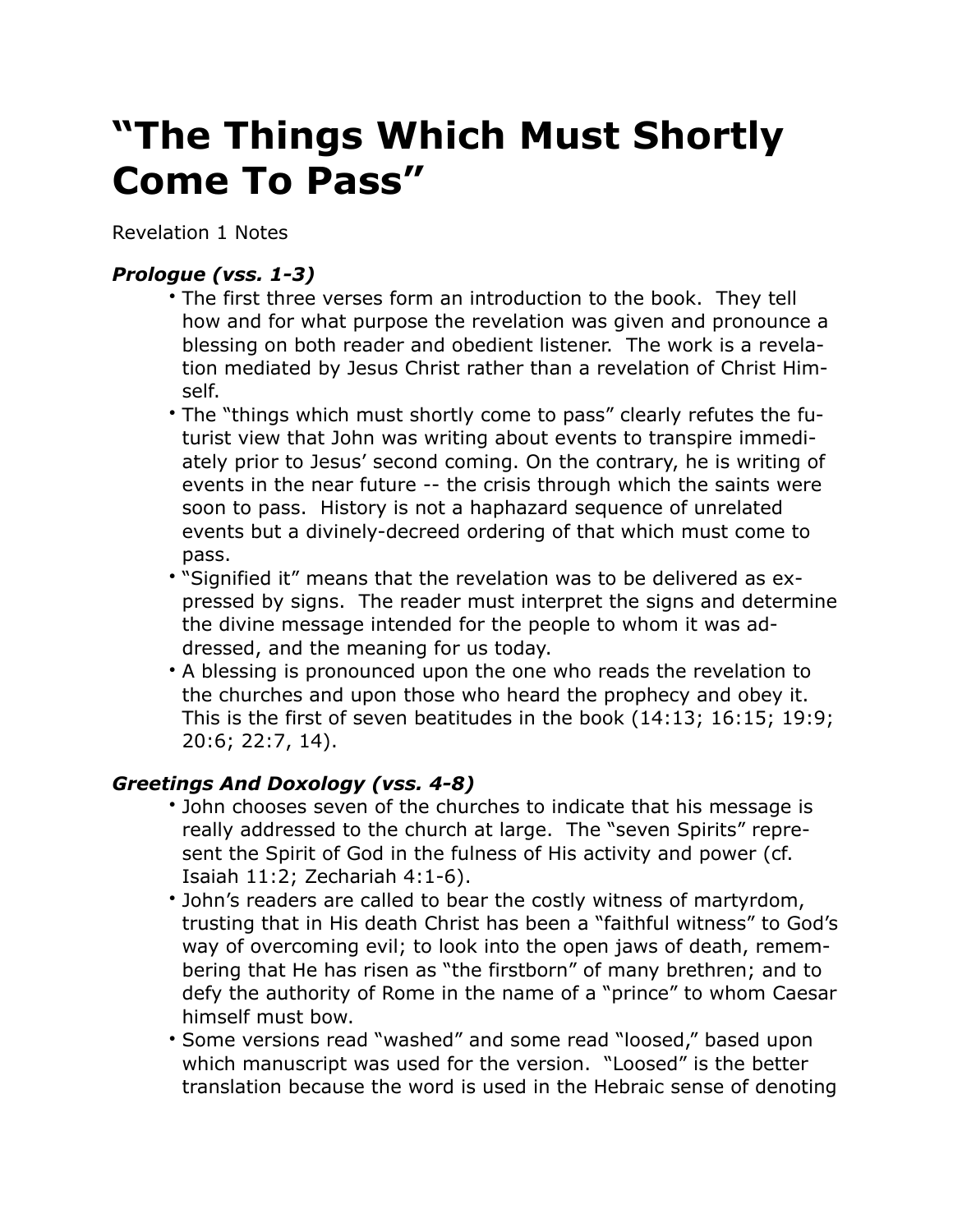## **"The Things Which Must Shortly Come To Pass"**

Revelation 1 Notes

## *Prologue (vss. 1-3)*

- The first three verses form an introduction to the book. They tell how and for what purpose the revelation was given and pronounce a blessing on both reader and obedient listener. The work is a revelation mediated by Jesus Christ rather than a revelation of Christ Himself.
- The "things which must shortly come to pass" clearly refutes the futurist view that John was writing about events to transpire immediately prior to Jesus' second coming. On the contrary, he is writing of events in the near future -- the crisis through which the saints were soon to pass. History is not a haphazard sequence of unrelated events but a divinely-decreed ordering of that which must come to pass.
- "Signified it" means that the revelation was to be delivered as expressed by signs. The reader must interpret the signs and determine the divine message intended for the people to whom it was addressed, and the meaning for us today.
- A blessing is pronounced upon the one who reads the revelation to the churches and upon those who heard the prophecy and obey it. This is the first of seven beatitudes in the book (14:13; 16:15; 19:9; 20:6; 22:7, 14).

## *Greetings And Doxology (vss. 4-8)*

- John chooses seven of the churches to indicate that his message is really addressed to the church at large. The "seven Spirits" represent the Spirit of God in the fulness of His activity and power (cf. Isaiah 11:2; Zechariah 4:1-6).
- John's readers are called to bear the costly witness of martyrdom, trusting that in His death Christ has been a "faithful witness" to God's way of overcoming evil; to look into the open jaws of death, remembering that He has risen as "the firstborn" of many brethren; and to defy the authority of Rome in the name of a "prince" to whom Caesar himself must bow.
- Some versions read "washed" and some read "loosed," based upon which manuscript was used for the version. "Loosed" is the better translation because the word is used in the Hebraic sense of denoting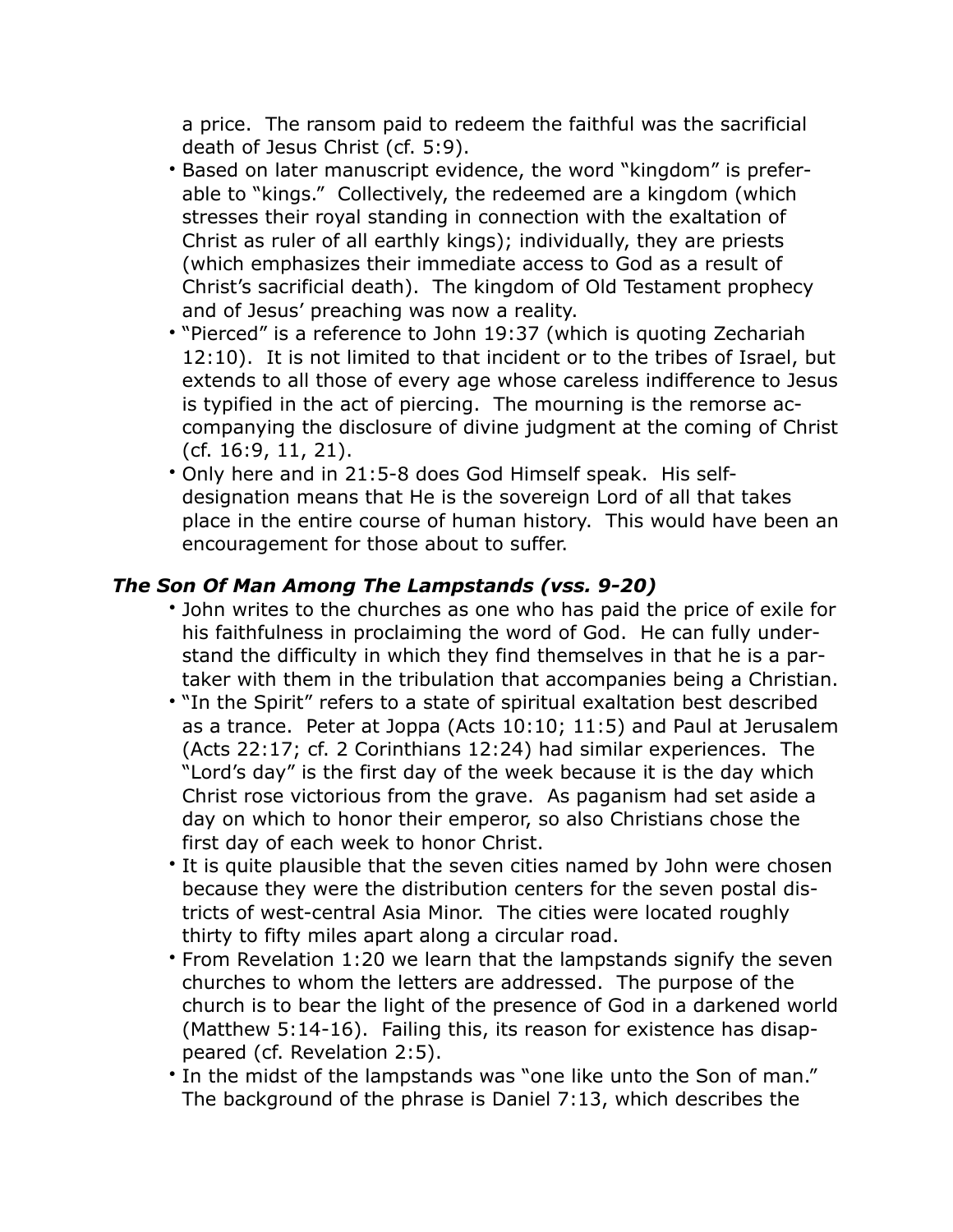a price. The ransom paid to redeem the faithful was the sacrificial death of Jesus Christ (cf. 5:9).

- Based on later manuscript evidence, the word "kingdom" is preferable to "kings." Collectively, the redeemed are a kingdom (which stresses their royal standing in connection with the exaltation of Christ as ruler of all earthly kings); individually, they are priests (which emphasizes their immediate access to God as a result of Christ's sacrificial death). The kingdom of Old Testament prophecy and of Jesus' preaching was now a reality.
- "Pierced" is a reference to John 19:37 (which is quoting Zechariah 12:10). It is not limited to that incident or to the tribes of Israel, but extends to all those of every age whose careless indifference to Jesus is typified in the act of piercing. The mourning is the remorse accompanying the disclosure of divine judgment at the coming of Christ (cf. 16:9, 11, 21).
- Only here and in 21:5-8 does God Himself speak. His selfdesignation means that He is the sovereign Lord of all that takes place in the entire course of human history. This would have been an encouragement for those about to suffer.

## *The Son Of Man Among The Lampstands (vss. 9-20)*

- John writes to the churches as one who has paid the price of exile for his faithfulness in proclaiming the word of God. He can fully understand the difficulty in which they find themselves in that he is a partaker with them in the tribulation that accompanies being a Christian.
- "In the Spirit" refers to a state of spiritual exaltation best described as a trance. Peter at Joppa (Acts 10:10; 11:5) and Paul at Jerusalem (Acts 22:17; cf. 2 Corinthians 12:24) had similar experiences. The "Lord's day" is the first day of the week because it is the day which Christ rose victorious from the grave. As paganism had set aside a day on which to honor their emperor, so also Christians chose the first day of each week to honor Christ.
- It is quite plausible that the seven cities named by John were chosen because they were the distribution centers for the seven postal districts of west-central Asia Minor. The cities were located roughly thirty to fifty miles apart along a circular road.
- From Revelation 1:20 we learn that the lampstands signify the seven churches to whom the letters are addressed. The purpose of the church is to bear the light of the presence of God in a darkened world (Matthew 5:14-16). Failing this, its reason for existence has disappeared (cf. Revelation 2:5).
- In the midst of the lampstands was "one like unto the Son of man." The background of the phrase is Daniel 7:13, which describes the